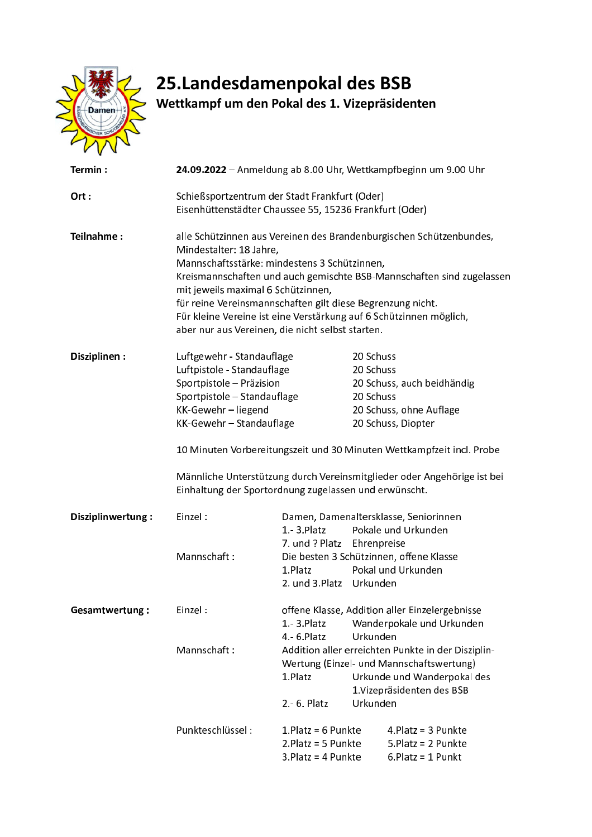

## 25. Landesdamenpokal des BSB<br>Wettkampf um den Pokal des 1. Vizepräsidenten

| Termin:               | 24.09.2022 - Anmeldung ab 8.00 Uhr, Wettkampfbeginn um 9.00 Uhr                                                                                                                      |                                                |                                                    |                             |  |
|-----------------------|--------------------------------------------------------------------------------------------------------------------------------------------------------------------------------------|------------------------------------------------|----------------------------------------------------|-----------------------------|--|
| Ort:                  | Schießsportzentrum der Stadt Frankfurt (Oder)<br>Eisenhüttenstädter Chaussee 55, 15236 Frankfurt (Oder)                                                                              |                                                |                                                    |                             |  |
| Teilnahme:            | alle Schützinnen aus Vereinen des Brandenburgischen Schützenbundes,<br>Mindestalter: 18 Jahre,<br>Mannschaftsstärke: mindestens 3 Schützinnen,                                       |                                                |                                                    |                             |  |
|                       | Kreismannschaften und auch gemischte BSB-Mannschaften sind zugelassen<br>mit jeweils maximal 6 Schützinnen,                                                                          |                                                |                                                    |                             |  |
|                       | für reine Vereinsmannschaften gilt diese Begrenzung nicht.<br>Für kleine Vereine ist eine Verstärkung auf 6 Schützinnen möglich,<br>aber nur aus Vereinen, die nicht selbst starten. |                                                |                                                    |                             |  |
| Disziplinen:          | Luftgewehr - Standauflage                                                                                                                                                            |                                                | 20 Schuss                                          |                             |  |
|                       | Luftpistole - Standauflage                                                                                                                                                           |                                                | 20 Schuss                                          |                             |  |
|                       | Sportpistole - Präzision                                                                                                                                                             |                                                |                                                    | 20 Schuss, auch beidhändig  |  |
|                       | Sportpistole - Standauflage                                                                                                                                                          |                                                | 20 Schuss                                          |                             |  |
|                       | KK-Gewehr - liegend                                                                                                                                                                  |                                                |                                                    | 20 Schuss, ohne Auflage     |  |
|                       | KK-Gewehr-Standauflage                                                                                                                                                               |                                                |                                                    | 20 Schuss, Diopter          |  |
|                       | 10 Minuten Vorbereitungszeit und 30 Minuten Wettkampfzeit incl. Probe                                                                                                                |                                                |                                                    |                             |  |
|                       | Männliche Unterstützung durch Vereinsmitglieder oder Angehörige ist bei<br>Einhaltung der Sportordnung zugelassen und erwünscht.                                                     |                                                |                                                    |                             |  |
| Disziplinwertung:     | Einzel:                                                                                                                                                                              |                                                | Damen, Damenaltersklasse, Seniorinnen              |                             |  |
|                       |                                                                                                                                                                                      | $1 - 3$ . Platz                                |                                                    | Pokale und Urkunden         |  |
|                       |                                                                                                                                                                                      |                                                | 7. und ? Platz Ehrenpreise                         |                             |  |
|                       | Mannschaft:                                                                                                                                                                          |                                                | Die besten 3 Schützinnen, offene Klasse            |                             |  |
|                       |                                                                                                                                                                                      | 1. Platz                                       |                                                    | Pokal und Urkunden          |  |
|                       |                                                                                                                                                                                      | 2. und 3. Platz Urkunden                       |                                                    |                             |  |
| <b>Gesamtwertung:</b> | Einzel:                                                                                                                                                                              | offene Klasse, Addition aller Einzelergebnisse |                                                    |                             |  |
|                       |                                                                                                                                                                                      | $1 - 3$ . Platz                                |                                                    | Wanderpokale und Urkunden   |  |
|                       |                                                                                                                                                                                      | $4 - 6$ . Platz                                | Urkunden                                           |                             |  |
|                       | Mannschaft:                                                                                                                                                                          |                                                | Addition aller erreichten Punkte in der Disziplin- |                             |  |
|                       |                                                                                                                                                                                      |                                                | Wertung (Einzel- und Mannschaftswertung)           |                             |  |
|                       |                                                                                                                                                                                      | 1. Platz                                       |                                                    | Urkunde und Wanderpokal des |  |
|                       |                                                                                                                                                                                      | $2 - 6$ . Platz                                | <b>Urkunden</b>                                    | 1. Vizepräsidenten des BSB  |  |
|                       |                                                                                                                                                                                      |                                                |                                                    |                             |  |
|                       | Punkteschlüssel:                                                                                                                                                                     | 1. Platz = $6$ Punkte                          |                                                    | 4. Platz = $3$ Punkte       |  |
|                       |                                                                                                                                                                                      | 2. Platz = $5$ Punkte                          |                                                    | $5.$ Platz = 2 Punkte       |  |
|                       |                                                                                                                                                                                      | $3.$ Platz = 4 Punkte                          |                                                    | $6.$ Platz = 1 Punkt        |  |